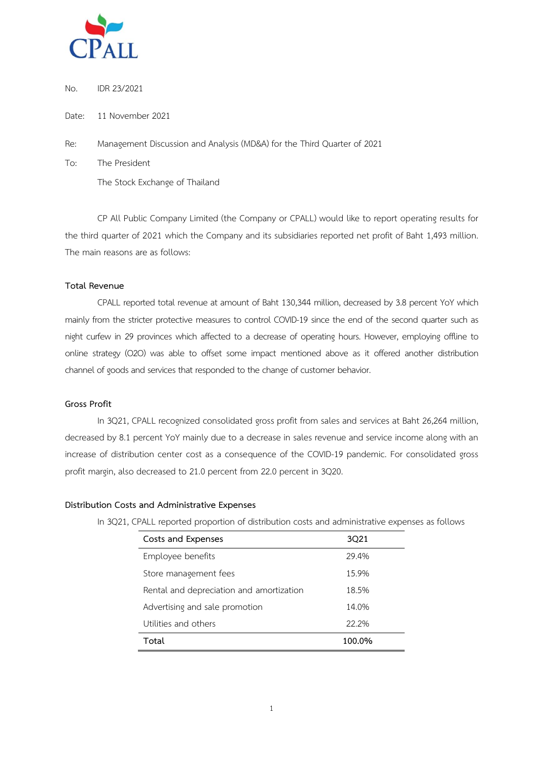

No. IDR 23/2021

Date: 11 November 2021

Re: Management Discussion and Analysis (MD&A) for the Third Quarter of 2021

To: The President The Stock Exchange of Thailand

CP All Public Company Limited (the Company or CPALL) would like to report operating results for the third quarter of 2021 which the Company and its subsidiaries reported net profit of Baht 1,493 million. The main reasons are as follows:

### **Total Revenue**

CPALL reported total revenue at amount of Baht 130,344 million, decreased by 3.8 percent YoY which mainly from the stricter protective measures to control COVID-19 since the end of the second quarter such as night curfew in 29 provinces which affected to a decrease of operating hours. However, employing offline to online strategy (O2O) was able to offset some impact mentioned above as it offered another distribution channel of goods and services that responded to the change of customer behavior.

## **Gross Profit**

In 3Q21, CPALL recognized consolidated gross profit from sales and services at Baht 26,264 million, decreased by 8.1 percent YoY mainly due to a decrease in sales revenue and service income along with an increase of distribution center cost as a consequence of the COVID-19 pandemic. For consolidated gross profit margin, also decreased to 21.0 percent from 22.0 percent in 3Q20.

### **Distribution Costs and Administrative Expenses**

In 3Q21, CPALL reported proportion of distribution costs and administrative expenses as follows

| Costs and Expenses                       | 3021   |
|------------------------------------------|--------|
| Employee benefits                        | 29.4%  |
| Store management fees                    | 15.9%  |
| Rental and depreciation and amortization | 18.5%  |
| Advertising and sale promotion           | 14.0%  |
| Utilities and others                     | 22.2%  |
| Total                                    | 100.0% |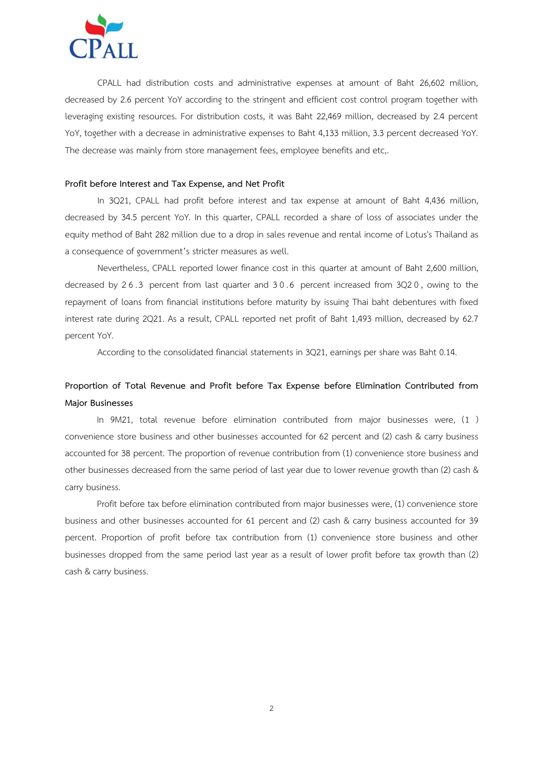

CPALL had distribution costs and administrative expenses at amount of Baht 26,602 million, decreased by 2.6 percent YoY according to the stringent and efficient cost control program together with leveraging existing resources. For distribution costs, it was Baht 22,469 million, decreased by 2.4 percent YoY, together with a decrease in administrative expenses to Baht 4,133 million, 3.3 percent decreased YoY. The decrease was mainly from store management fees, employee benefits and etc,.

### **Profit before Interest and Tax Expense, and Net Profit**

In 3Q21, CPALL had profit before interest and tax expense at amount of Baht 4,436 million, decreased by 34.5 percent YoY. In this quarter, CPALL recorded a share of loss of associates under the equity method of Baht 282 million due to a drop in sales revenue and rental income of Lotus's Thailand as a consequence of government's stricter measures as well.

Nevertheless, CPALL reported lower finance cost in this quarter at amount of Baht 2,600 million, decreased by 2 6 .3 percent from last quarter and 3 0 .6 percent increased from 3Q2 0, owing to the repayment of loans from financial institutions before maturity by issuing Thai baht debentures with fixed interest rate during 2Q21. As a result, CPALL reported net profit of Baht 1,493 million, decreased by 62.7 percent YoY.

According to the consolidated financial statements in 3Q21, earnings per share was Baht 0.14.

# **Proportion of Total Revenue and Profit before Tax Expense before Elimination Contributed from Major Businesses**

In 9M21, total revenue before elimination contributed from major businesses were, (1 ) convenience store business and other businesses accounted for 62 percent and (2) cash & carry business accounted for 38 percent. The proportion of revenue contribution from (1) convenience store business and other businesses decreased from the same period of last year due to lower revenue growth than (2) cash & carry business.

Profit before tax before elimination contributed from major businesses were, (1) convenience store business and other businesses accounted for 61 percent and (2) cash & carry business accounted for 39 percent. Proportion of profit before tax contribution from (1) convenience store business and other businesses dropped from the same period last year as a result of lower profit before tax growth than (2) cash & carry business.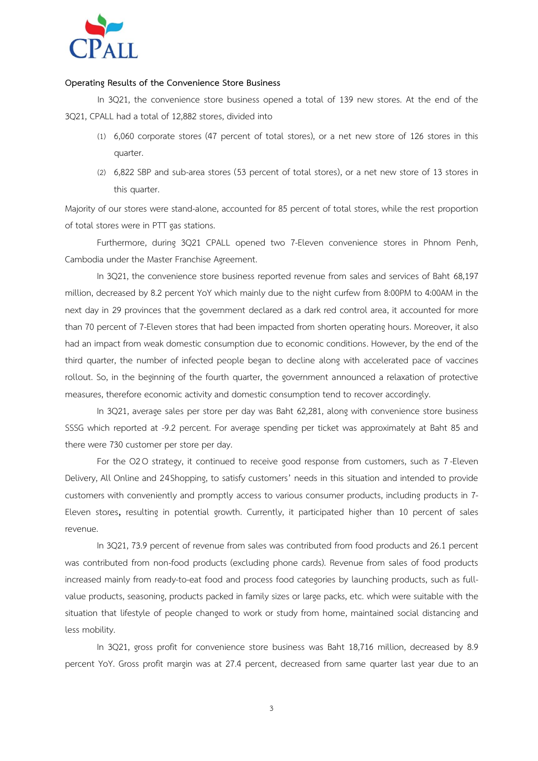

### **Operating Results of the Convenience Store Business**

In 3Q21, the convenience store business opened a total of 139 new stores. At the end of the 3Q21, CPALL had a total of 12,882 stores, divided into

- (1) 6,060 corporate stores (47 percent of total stores), or a net new store of 126 stores in this quarter.
- (2) 6,822 SBP and sub-area stores (53 percent of total stores), or a net new store of 13 stores in this quarter.

Majority of our stores were stand-alone, accounted for 85 percent of total stores, while the rest proportion of total stores were in PTT gas stations.

Furthermore, during 3Q21 CPALL opened two 7-Eleven convenience stores in Phnom Penh, Cambodia under the Master Franchise Agreement.

In 3Q21, the convenience store business reported revenue from sales and services of Baht 68,197 million, decreased by 8.2 percent YoY which mainly due to the night curfew from 8:00PM to 4:00AM in the next day in 29 provinces that the government declared as a dark red control area, it accounted for more than 70 percent of 7-Eleven stores that had been impacted from shorten operating hours. Moreover, it also had an impact from weak domestic consumption due to economic conditions. However, by the end of the third quarter, the number of infected people began to decline along with accelerated pace of vaccines rollout. So, in the beginning of the fourth quarter, the government announced a relaxation of protective measures, therefore economic activity and domestic consumption tend to recover accordingly.

In 3Q21, average sales per store per day was Baht 62,281, along with convenience store business SSSG which reported at -9.2 percent. For average spending per ticket was approximately at Baht 85 and there were 730 customer per store per day.

For the O2 O strategy, it continued to receive good response from customers, such as 7-Eleven Delivery, All Online and 24Shopping, to satisfy customers' needs in this situation and intended to provide customers with conveniently and promptly access to various consumer products, including products in 7- Eleven stores, resulting in potential growth. Currently, it participated higher than 10 percent of sales revenue.

In 3Q21, 73.9 percent of revenue from sales was contributed from food products and 26.1 percent was contributed from non-food products (excluding phone cards). Revenue from sales of food products increased mainly from ready-to-eat food and process food categories by launching products, such as fullvalue products, seasoning, products packed in family sizes or large packs, etc. which were suitable with the situation that lifestyle of people changed to work or study from home, maintained social distancing and less mobility.

In 3Q21, gross profit for convenience store business was Baht 18,716 million, decreased by 8.9 percent YoY. Gross profit margin was at 27.4 percent, decreased from same quarter last year due to an